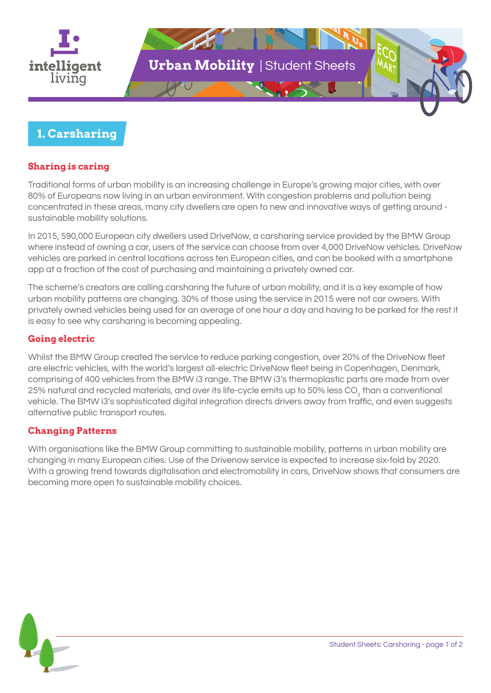

## **1. Carsharing**

### **Sharing is caring**

Traditional forms of urban mobility is an increasing challenge in Europe's growing major cities, with over 80% of Europeans now living in an urban environment. With congestion problems and pollution being concentrated in these areas, many city dwellers are open to new and innovative ways of getting around sustainable mobility solutions.

In 2015, 590,000 European city dwellers used DriveNow, a carsharing service provided by the BMW Group where instead of owning a car, users of the service can choose from over 4,000 DriveNow vehicles. DriveNow vehicles are parked in central locations across ten European cities, and can be booked with a smartphone app at a fraction of the cost of purchasing and maintaining a privately owned car.

The scheme's creators are calling carsharing the future of urban mobility, and it is a key example of how urban mobility patterns are changing. 30% of those using the service in 2015 were not car owners. With privately owned vehicles being used for an average of one hour a day and having to be parked for the rest it is easy to see why carsharing is becoming appealing.

#### **Going electric**

Whilst the BMW Group created the service to reduce parking congestion, over 20% of the DriveNow fleet are electric vehicles, with the world's largest all-electric DriveNow fleet being in Copenhagen, Denmark, comprising of 400 vehicles from the BMW i3 range. The BMW i3's thermoplastic parts are made from over 25% natural and recycled materials, and over its life-cycle emits up to 50% less CO<sub>2</sub> than a conventional vehicle. The BMW i3's sophisticated digital integration directs drivers away from traffic, and even suggests alternative public transport routes.

#### **Changing Patterns**

With organisations like the BMW Group committing to sustainable mobility, patterns in urban mobility are changing in many European cities. Use of the Drivenow service is expected to increase six-fold by 2020. With a growing trend towards digitalisation and electromobility in cars, DriveNow shows that consumers are becoming more open to sustainable mobility choices.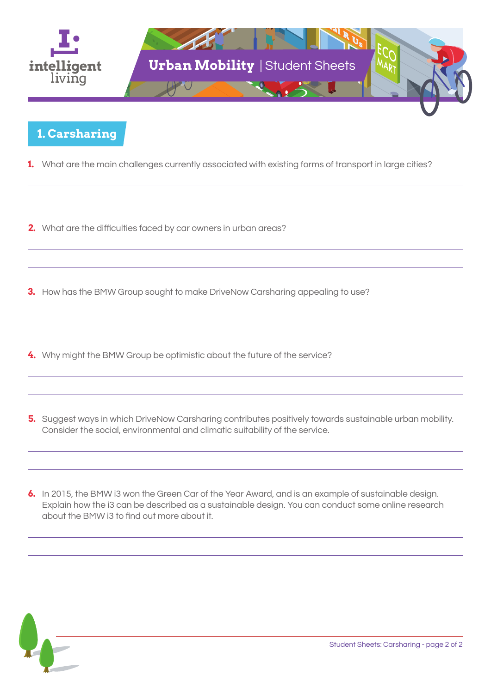

## **1. Carsharing**

- **1.** What are the main challenges currently associated with existing forms of transport in large cities?
- **2.** What are the difficulties faced by car owners in urban areas?
- **3.** How has the BMW Group sought to make DriveNow Carsharing appealing to use?
- **4.** Why might the BMW Group be optimistic about the future of the service?
- **5.** Suggest ways in which DriveNow Carsharing contributes positively towards sustainable urban mobility. Consider the social, environmental and climatic suitability of the service.
- **6.** In 2015, the BMW i3 won the Green Car of the Year Award, and is an example of sustainable design. Explain how the i3 can be described as a sustainable design. You can conduct some online research about the BMW i3 to find out more about it.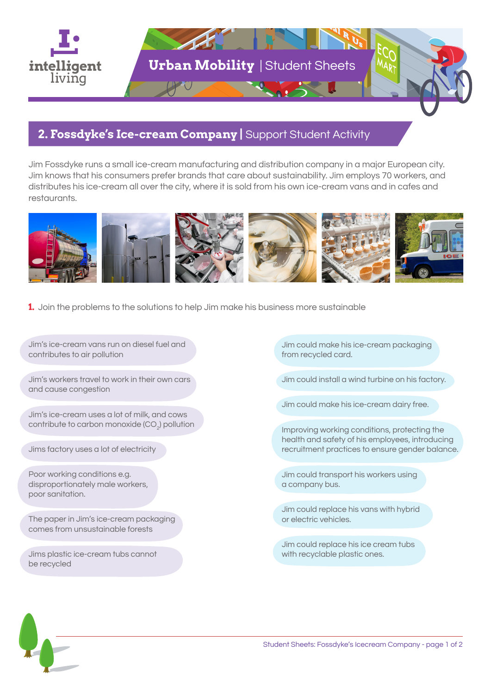

# **2. Fossdyke's Ice-cream Company |** Support Student Activity

Jim Fossdyke runs a small ice-cream manufacturing and distribution company in a major European city. Jim knows that his consumers prefer brands that care about sustainability. Jim employs 70 workers, and distributes his ice-cream all over the city, where it is sold from his own ice-cream vans and in cafes and restaurants.



**1.** Join the problems to the solutions to help Jim make his business more sustainable

Jim's ice-cream vans run on diesel fuel and contributes to air pollution

Jim's workers travel to work in their own cars and cause congestion

Jim's ice-cream uses a lot of milk, and cows contribute to carbon monoxide (CO $_{_2}$ ) pollution

Jims factory uses a lot of electricity

Poor working conditions e.g. disproportionately male workers, poor sanitation.

The paper in Jim's ice-cream packaging comes from unsustainable forests

Jims plastic ice-cream tubs cannot be recycled

Jim could make his ice-cream packaging from recycled card.

Jim could install a wind turbine on his factory.

Jim could make his ice-cream dairy free.

Improving working conditions, protecting the health and safety of his employees, introducing recruitment practices to ensure gender balance.

Jim could transport his workers using a company bus.

Jim could replace his vans with hybrid or electric vehicles.

Jim could replace his ice cream tubs with recyclable plastic ones.

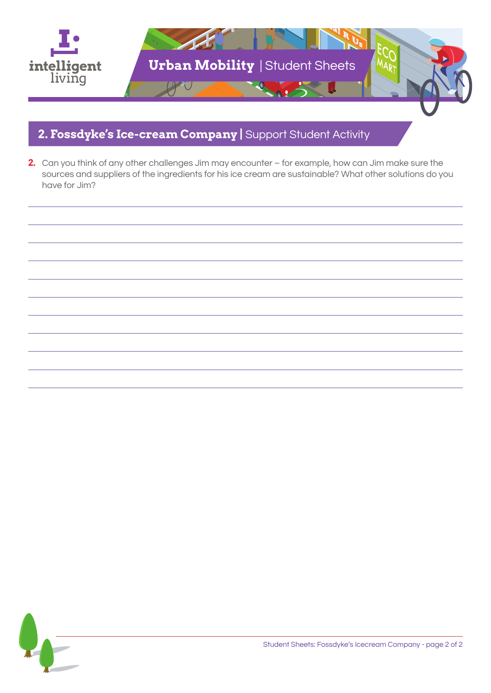

# **2. Fossdyke's Ice-cream Company |** Support Student Activity

**2.** Can you think of any other challenges Jim may encounter – for example, how can Jim make sure the sources and suppliers of the ingredients for his ice cream are sustainable? What other solutions do you have for Jim?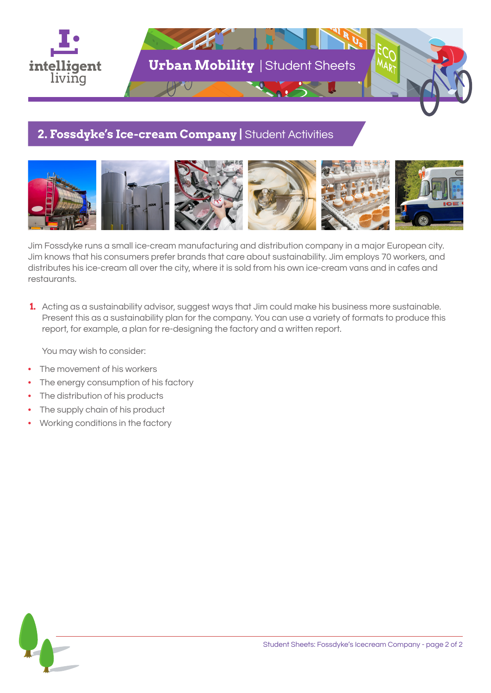

## **2. Fossdyke's Ice-cream Company |** Student Activities



Jim Fossdyke runs a small ice-cream manufacturing and distribution company in a major European city. Jim knows that his consumers prefer brands that care about sustainability. Jim employs 70 workers, and distributes his ice-cream all over the city, where it is sold from his own ice-cream vans and in cafes and restaurants.

 **1.** Acting as a sustainability advisor, suggest ways that Jim could make his business more sustainable. Present this as a sustainability plan for the company. You can use a variety of formats to produce this report, for example, a plan for re-designing the factory and a written report.

You may wish to consider:

- The movement of his workers
- The energy consumption of his factory
- The distribution of his products
- The supply chain of his product
- Working conditions in the factory

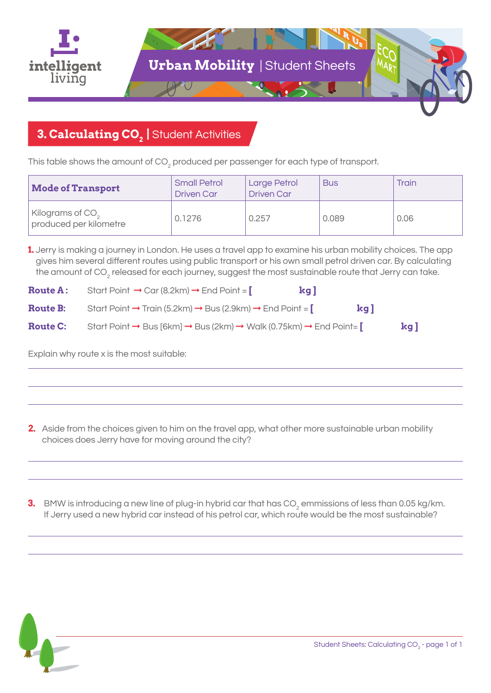

# **3. Calculating CO<sub>2</sub> | Student Activities**

This table shows the amount of CO $_{\textrm{\tiny{2}}}$  produced per passenger for each type of transport.

| <b>Mode of Transport</b>                               | <b>Small Petrol</b><br><b>Driven Car</b> | <b>Large Petrol</b><br><b>Driven Car</b> | <b>Bus</b> | <b>Train</b> |
|--------------------------------------------------------|------------------------------------------|------------------------------------------|------------|--------------|
| Kilograms of CO <sub>2</sub><br>produced per kilometre | 0.1276                                   | 0.257                                    | 0.089      | 0.06         |

**1.** Jerry is making a journey in London. He uses a travel app to examine his urban mobility choices. The app gives him several different routes using public transport or his own small petrol driven car. By calculating the amount of CO<sub>2</sub> released for each journey, suggest the most sustainable route that Jerry can take.

| <b>Route A:</b> | Start Point $\rightarrow$ Car (8.2km) $\rightarrow$ End Point =    | kg l |    |        |
|-----------------|--------------------------------------------------------------------|------|----|--------|
| <b>Route B:</b> | Start Point → Train (5.2km) → Bus (2.9km) → End Point = $\lceil$   |      | kg |        |
| <b>Route C:</b> | Start Point → Bus [6km] → Bus (2km) → Walk (0.75km) → End Point= [ |      |    | $\log$ |

Explain why route x is the most suitable:

**2.** Aside from the choices given to him on the travel app, what other more sustainable urban mobility choices does Jerry have for moving around the city?

 $\bf 3.~$  BMW is introducing a new line of plug-in hybrid car that has CO<sub>2</sub> emmissions of less than 0.05 kg/km. If Jerry used a new hybrid car instead of his petrol car, which route would be the most sustainable?

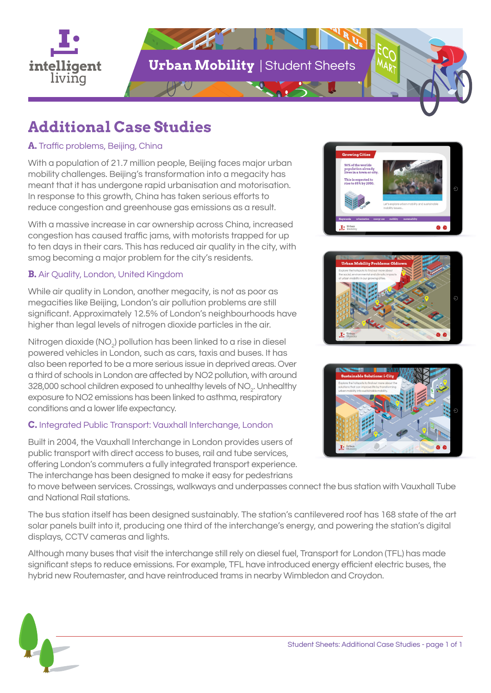

# **Additional Case Studies**

## **A.** Traffic problems, Beijing, China

With a population of 21.7 million people, Beijing faces major urban mobility challenges. Beijing's transformation into a megacity has meant that it has undergone rapid urbanisation and motorisation. In response to this growth, China has taken serious efforts to reduce congestion and greenhouse gas emissions as a result.

With a massive increase in car ownership across China, increased congestion has caused traffic jams, with motorists trapped for up to ten days in their cars. This has reduced air quality in the city, with smog becoming a major problem for the city's residents.

## **B.** Air Quality, London, United Kingdom

While air quality in London, another megacity, is not as poor as megacities like Beijing, London's air pollution problems are still significant. Approximately 12.5% of London's neighbourhoods have higher than legal levels of nitrogen dioxide particles in the air.

Nitrogen dioxide (NO $_{\rm 2}$ ) pollution has been linked to a rise in diesel powered vehicles in London, such as cars, taxis and buses. It has also been reported to be a more serious issue in deprived areas. Over a third of schools in London are affected by NO2 pollution, with around 328,000 school children exposed to unhealthy levels of NO $_{\textrm{\tiny{2}}}$ . Unhealthy exposure to NO2 emissions has been linked to asthma, respiratory conditions and a lower life expectancy.

## **C.** Integrated Public Transport: Vauxhall Interchange, London

Built in 2004, the Vauxhall Interchange in London provides users of public transport with direct access to buses, rail and tube services, offering London's commuters a fully integrated transport experience. The interchange has been designed to make it easy for pedestrians

 $I^{\bullet}$ <sup>U</sup>





to move between services. Crossings, walkways and underpasses connect the bus station with Vauxhall Tube and National Rail stations.

The bus station itself has been designed sustainably. The station's cantilevered roof has 168 state of the art solar panels built into it, producing one third of the interchange's energy, and powering the station's digital displays, CCTV cameras and lights.

Although many buses that visit the interchange still rely on diesel fuel, Transport for London (TFL) has made significant steps to reduce emissions. For example, TFL have introduced energy efficient electric buses, the hybrid new Routemaster, and have reintroduced trams in nearby Wimbledon and Croydon.